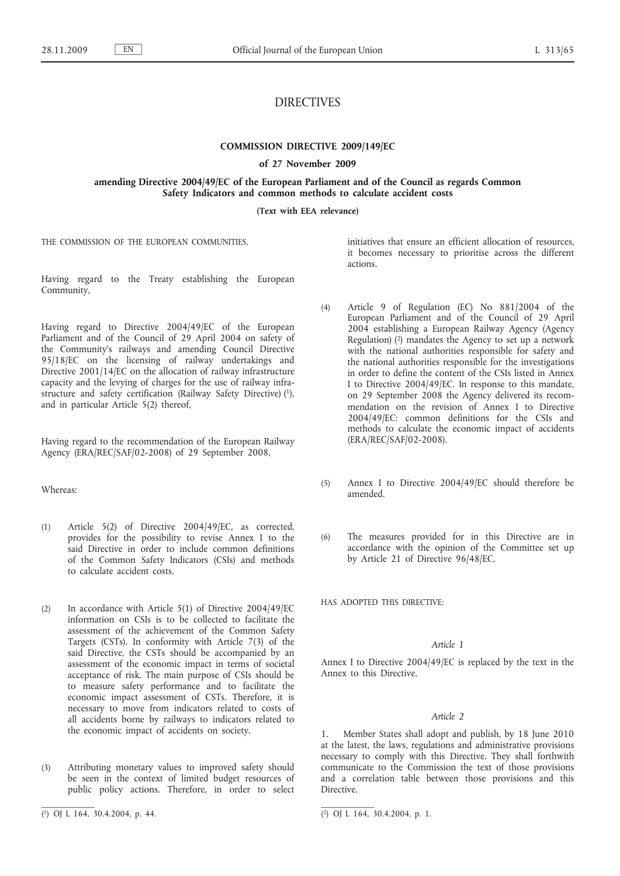# DIRECTIVES

# **COMMISSION DIRECTIVE 2009/149/EC**

#### **of 27 November 2009**

**amending Directive 2004/49/EC of the European Parliament and of the Council as regards Common Safety Indicators and common methods to calculate accident costs**

**(Text with EEA relevance)**

THE COMMISSION OF THE EUROPEAN COMMUNITIES,

Having regard to the Treaty establishing the European Community,

Having regard to Directive 2004/49/EC of the European Parliament and of the Council of 29 April 2004 on safety of the Community's railways and amending Council Directive 95/18/EC on the licensing of railway undertakings and Directive 2001/14/EC on the allocation of railway infrastructure capacity and the levying of charges for the use of railway infrastructure and safety certification (Railway Safety Directive) (1), and in particular Article 5(2) thereof,

Having regard to the recommendation of the European Railway Agency (ERA/REC/SAF/02-2008) of 29 September 2008,

## Whereas:

- (1) Article 5(2) of Directive 2004/49/EC, as corrected, provides for the possibility to revise Annex I to the said Directive in order to include common definitions of the Common Safety Indicators (CSIs) and methods to calculate accident costs.
- (2) In accordance with Article 5(1) of Directive 2004/49/EC information on CSIs is to be collected to facilitate the assessment of the achievement of the Common Safety Targets (CSTs). In conformity with Article 7(3) of the said Directive, the CSTs should be accompanied by an assessment of the economic impact in terms of societal acceptance of risk. The main purpose of CSIs should be to measure safety performance and to facilitate the economic impact assessment of CSTs. Therefore, it is necessary to move from indicators related to costs of all accidents borne by railways to indicators related to the economic impact of accidents on society.
- (3) Attributing monetary values to improved safety should be seen in the context of limited budget resources of public policy actions. Therefore, in order to select

initiatives that ensure an efficient allocation of resources, it becomes necessary to prioritise across the different actions.

- (4) Article 9 of Regulation (EC) No 881/2004 of the European Parliament and of the Council of 29 April 2004 establishing a European Railway Agency (Agency Regulation) (2) mandates the Agency to set up a network with the national authorities responsible for safety and the national authorities responsible for the investigations in order to define the content of the CSIs listed in Annex I to Directive 2004/49/EC. In response to this mandate, on 29 September 2008 the Agency delivered its recommendation on the revision of Annex I to Directive 2004/49/EC: common definitions for the CSIs and methods to calculate the economic impact of accidents (ERA/REC/SAF/02-2008).
- (5) Annex I to Directive 2004/49/EC should therefore be amended.
- (6) The measures provided for in this Directive are in accordance with the opinion of the Committee set up by Article 21 of Directive 96/48/EC,

HAS ADOPTED THIS DIRECTIVE:

# *Article 1*

Annex I to Directive 2004/49/EC is replaced by the text in the Annex to this Directive.

#### *Article 2*

1. Member States shall adopt and publish, by 18 June 2010 at the latest, the laws, regulations and administrative provisions necessary to comply with this Directive. They shall forthwith communicate to the Commission the text of those provisions and a correlation table between those provisions and this Directive.

<sup>(</sup> 1) OJ L 164, 30.4.2004, p. 44. (2) OJ L 164, 30.4.2004, p. 1.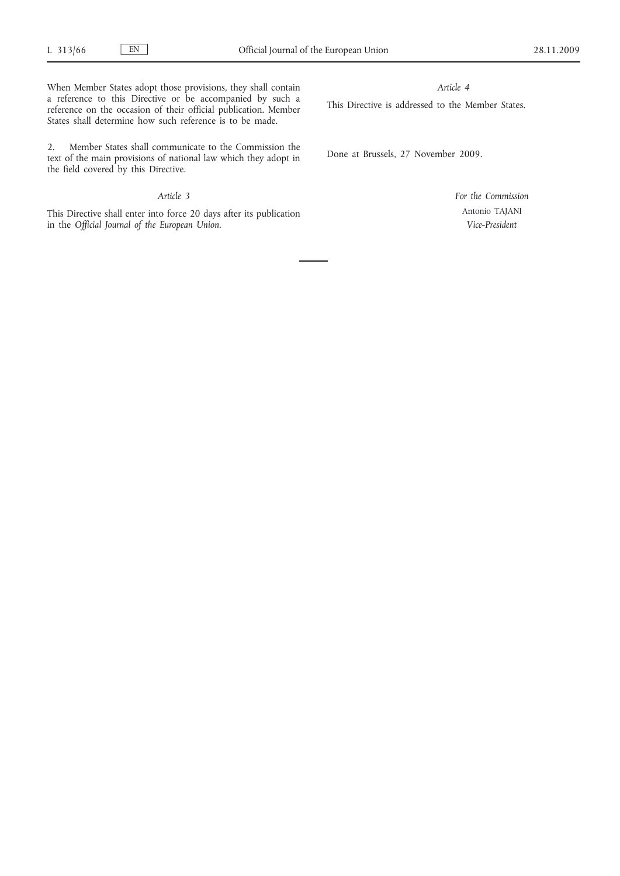When Member States adopt those provisions, they shall contain a reference to this Directive or be accompanied by such a reference on the occasion of their official publication. Member States shall determine how such reference is to be made.

2. Member States shall communicate to the Commission the text of the main provisions of national law which they adopt in the field covered by this Directive.

# *Article 3*

This Directive shall enter into force 20 days after its publication in the *Official Journal of the European Union*.

## *Article 4*

This Directive is addressed to the Member States.

Done at Brussels, 27 November 2009.

*For the Commission* Antonio TAJANI *Vice-President*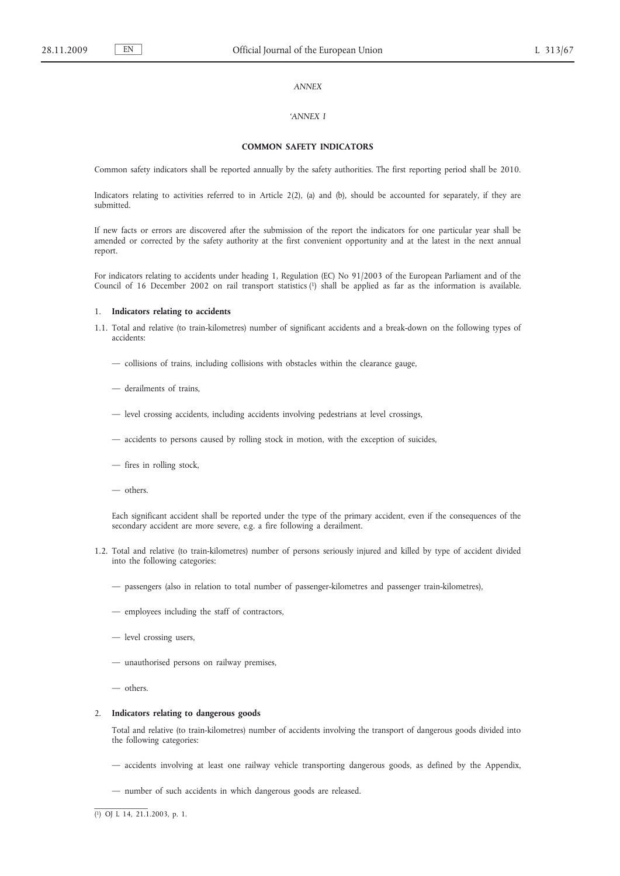## *ANNEX*

## *'ANNEX I*

# **COMMON SAFETY INDICATORS**

Common safety indicators shall be reported annually by the safety authorities. The first reporting period shall be 2010.

Indicators relating to activities referred to in Article 2(2), (a) and (b), should be accounted for separately, if they are submitted.

If new facts or errors are discovered after the submission of the report the indicators for one particular year shall be amended or corrected by the safety authority at the first convenient opportunity and at the latest in the next annual report.

For indicators relating to accidents under heading 1, Regulation (EC) No 91/2003 of the European Parliament and of the Council of 16 December 2002 on rail transport statistics (1) shall be applied as far as the information is available.

## 1. **Indicators relating to accidents**

- 1.1. Total and relative (to train-kilometres) number of significant accidents and a break-down on the following types of accidents:
	- collisions of trains, including collisions with obstacles within the clearance gauge,
	- derailments of trains,
	- level crossing accidents, including accidents involving pedestrians at level crossings,
	- accidents to persons caused by rolling stock in motion, with the exception of suicides,
	- fires in rolling stock,
	- others.

Each significant accident shall be reported under the type of the primary accident, even if the consequences of the secondary accident are more severe, e.g. a fire following a derailment.

- 1.2. Total and relative (to train-kilometres) number of persons seriously injured and killed by type of accident divided into the following categories:
	- passengers (also in relation to total number of passenger-kilometres and passenger train-kilometres),
	- employees including the staff of contractors,
	- level crossing users,
	- unauthorised persons on railway premises,
	- others.

### 2. **Indicators relating to dangerous goods**

Total and relative (to train-kilometres) number of accidents involving the transport of dangerous goods divided into the following categories:

- accidents involving at least one railway vehicle transporting dangerous goods, as defined by the Appendix,
- number of such accidents in which dangerous goods are released.

<sup>(</sup> 1) OJ L 14, 21.1.2003, p. 1.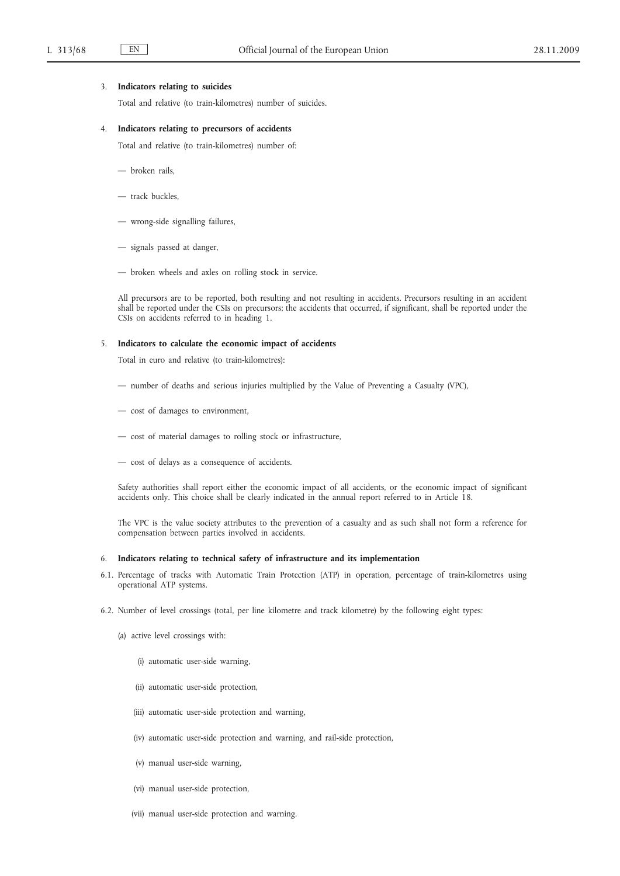## 3. **Indicators relating to suicides**

Total and relative (to train-kilometres) number of suicides.

#### 4. **Indicators relating to precursors of accidents**

Total and relative (to train-kilometres) number of:

- broken rails,
- track buckles,
- wrong-side signalling failures,
- signals passed at danger,
- broken wheels and axles on rolling stock in service.

All precursors are to be reported, both resulting and not resulting in accidents. Precursors resulting in an accident shall be reported under the CSIs on precursors; the accidents that occurred, if significant, shall be reported under the CSIs on accidents referred to in heading 1.

## 5. **Indicators to calculate the economic impact of accidents**

Total in euro and relative (to train-kilometres):

- number of deaths and serious injuries multiplied by the Value of Preventing a Casualty (VPC),
- cost of damages to environment,
- cost of material damages to rolling stock or infrastructure,
- cost of delays as a consequence of accidents.

Safety authorities shall report either the economic impact of all accidents, or the economic impact of significant accidents only. This choice shall be clearly indicated in the annual report referred to in Article 18.

The VPC is the value society attributes to the prevention of a casualty and as such shall not form a reference for compensation between parties involved in accidents.

## 6. **Indicators relating to technical safety of infrastructure and its implementation**

- 6.1. Percentage of tracks with Automatic Train Protection (ATP) in operation, percentage of train-kilometres using operational ATP systems.
- 6.2. Number of level crossings (total, per line kilometre and track kilometre) by the following eight types:
	- (a) active level crossings with:
		- (i) automatic user-side warning,
		- (ii) automatic user-side protection,
		- (iii) automatic user-side protection and warning,
		- (iv) automatic user-side protection and warning, and rail-side protection,
		- (v) manual user-side warning,
		- (vi) manual user-side protection,
		- (vii) manual user-side protection and warning.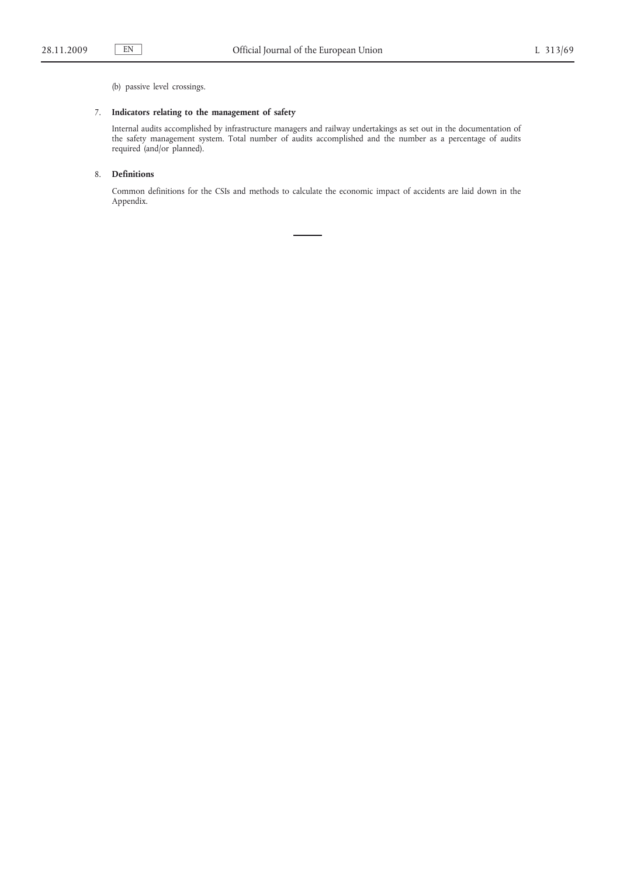(b) passive level crossings.

# 7. **Indicators relating to the management of safety**

Internal audits accomplished by infrastructure managers and railway undertakings as set out in the documentation of the safety management system. Total number of audits accomplished and the number as a percentage of audits required (and/or planned).

# 8. **Definitions**

Common definitions for the CSIs and methods to calculate the economic impact of accidents are laid down in the Appendix.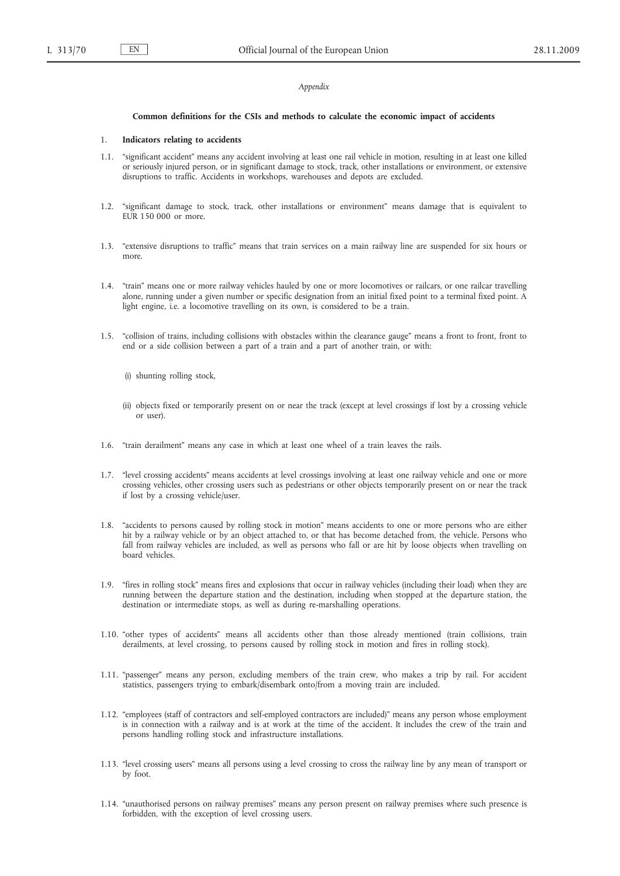## *Appendix*

#### **Common definitions for the CSIs and methods to calculate the economic impact of accidents**

#### 1. **Indicators relating to accidents**

- 1.1. "significant accident" means any accident involving at least one rail vehicle in motion, resulting in at least one killed or seriously injured person, or in significant damage to stock, track, other installations or environment, or extensive disruptions to traffic. Accidents in workshops, warehouses and depots are excluded.
- 1.2. "significant damage to stock, track, other installations or environment" means damage that is equivalent to EUR 150 000 or more.
- 1.3. "extensive disruptions to traffic" means that train services on a main railway line are suspended for six hours or more.
- 1.4. "train" means one or more railway vehicles hauled by one or more locomotives or railcars, or one railcar travelling alone, running under a given number or specific designation from an initial fixed point to a terminal fixed point. A light engine, i.e. a locomotive travelling on its own, is considered to be a train.
- 1.5. "collision of trains, including collisions with obstacles within the clearance gauge" means a front to front, front to end or a side collision between a part of a train and a part of another train, or with:
	- (i) shunting rolling stock,
	- (ii) objects fixed or temporarily present on or near the track (except at level crossings if lost by a crossing vehicle or user).
- 1.6. "train derailment" means any case in which at least one wheel of a train leaves the rails.
- 1.7. "level crossing accidents" means accidents at level crossings involving at least one railway vehicle and one or more crossing vehicles, other crossing users such as pedestrians or other objects temporarily present on or near the track if lost by a crossing vehicle/user.
- 1.8. "accidents to persons caused by rolling stock in motion" means accidents to one or more persons who are either hit by a railway vehicle or by an object attached to, or that has become detached from, the vehicle. Persons who fall from railway vehicles are included, as well as persons who fall or are hit by loose objects when travelling on board vehicles.
- 1.9. "fires in rolling stock" means fires and explosions that occur in railway vehicles (including their load) when they are running between the departure station and the destination, including when stopped at the departure station, the destination or intermediate stops, as well as during re-marshalling operations.
- 1.10. "other types of accidents" means all accidents other than those already mentioned (train collisions, train derailments, at level crossing, to persons caused by rolling stock in motion and fires in rolling stock).
- 1.11. "passenger" means any person, excluding members of the train crew, who makes a trip by rail. For accident statistics, passengers trying to embark/disembark onto/from a moving train are included.
- 1.12. "employees (staff of contractors and self-employed contractors are included)" means any person whose employment is in connection with a railway and is at work at the time of the accident. It includes the crew of the train and persons handling rolling stock and infrastructure installations.
- 1.13. "level crossing users" means all persons using a level crossing to cross the railway line by any mean of transport or by foot.
- 1.14. "unauthorised persons on railway premises" means any person present on railway premises where such presence is forbidden, with the exception of level crossing users.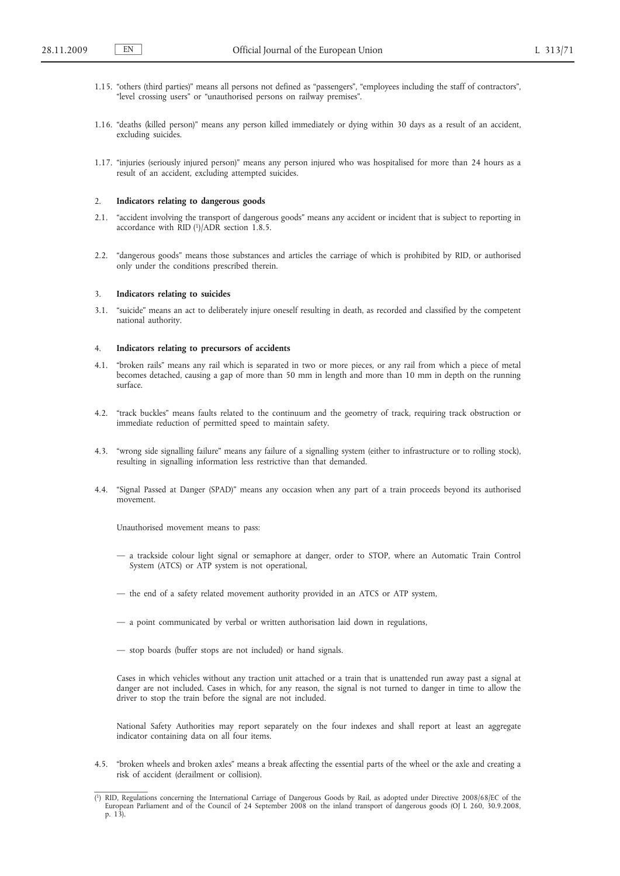- 1.15. "others (third parties)" means all persons not defined as "passengers", "employees including the staff of contractors", "level crossing users" or "unauthorised persons on railway premises".
- 1.16. "deaths (killed person)" means any person killed immediately or dying within 30 days as a result of an accident, excluding suicides.
- 1.17. "injuries (seriously injured person)" means any person injured who was hospitalised for more than 24 hours as a result of an accident, excluding attempted suicides.

#### 2. **Indicators relating to dangerous goods**

- 2.1. "accident involving the transport of dangerous goods" means any accident or incident that is subject to reporting in accordance with  $\overline{R}$ ID (1)/ADR section 1.8.5.
- 2.2. "dangerous goods" means those substances and articles the carriage of which is prohibited by RID, or authorised only under the conditions prescribed therein.

#### 3. **Indicators relating to suicides**

3.1. "suicide" means an act to deliberately injure oneself resulting in death, as recorded and classified by the competent national authority.

#### 4. **Indicators relating to precursors of accidents**

- 4.1. "broken rails" means any rail which is separated in two or more pieces, or any rail from which a piece of metal becomes detached, causing a gap of more than 50 mm in length and more than 10 mm in depth on the running surface.
- 4.2. "track buckles" means faults related to the continuum and the geometry of track, requiring track obstruction or immediate reduction of permitted speed to maintain safety.
- 4.3. "wrong side signalling failure" means any failure of a signalling system (either to infrastructure or to rolling stock), resulting in signalling information less restrictive than that demanded.
- 4.4. "Signal Passed at Danger (SPAD)" means any occasion when any part of a train proceeds beyond its authorised movement.

Unauthorised movement means to pass:

- a trackside colour light signal or semaphore at danger, order to STOP, where an Automatic Train Control System (ATCS) or ATP system is not operational,
- the end of a safety related movement authority provided in an ATCS or ATP system,
- a point communicated by verbal or written authorisation laid down in regulations,
- stop boards (buffer stops are not included) or hand signals.

Cases in which vehicles without any traction unit attached or a train that is unattended run away past a signal at danger are not included. Cases in which, for any reason, the signal is not turned to danger in time to allow the driver to stop the train before the signal are not included.

National Safety Authorities may report separately on the four indexes and shall report at least an aggregate indicator containing data on all four items.

4.5. "broken wheels and broken axles" means a break affecting the essential parts of the wheel or the axle and creating a risk of accident (derailment or collision).

<sup>(</sup> 1) RID, Regulations concerning the International Carriage of Dangerous Goods by Rail, as adopted under Directive 2008/68/EC of the European Parliament and of the Council of 24 September 2008 on the inland transport of dangerous goods (OJ L 260, 30.9.2008, p. 13).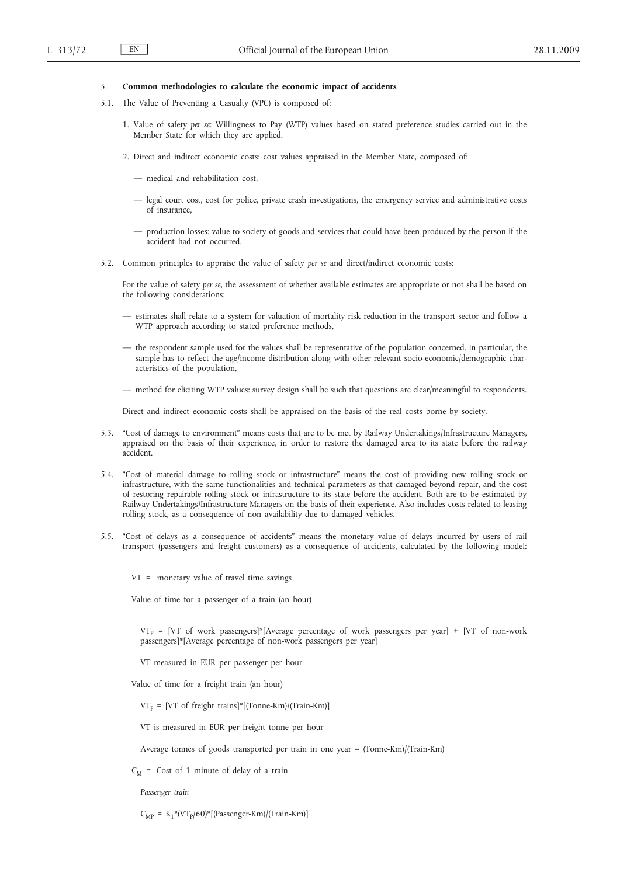## 5. **Common methodologies to calculate the economic impact of accidents**

- 5.1. The Value of Preventing a Casualty (VPC) is composed of:
	- 1. Value of safety *per se*: Willingness to Pay (WTP) values based on stated preference studies carried out in the Member State for which they are applied.
	- 2. Direct and indirect economic costs: cost values appraised in the Member State, composed of:
		- medical and rehabilitation cost,
		- legal court cost, cost for police, private crash investigations, the emergency service and administrative costs of insurance,
		- production losses: value to society of goods and services that could have been produced by the person if the accident had not occurred.
- 5.2. Common principles to appraise the value of safety *per se* and direct/indirect economic costs:

For the value of safety *per se*, the assessment of whether available estimates are appropriate or not shall be based on the following considerations:

- estimates shall relate to a system for valuation of mortality risk reduction in the transport sector and follow a WTP approach according to stated preference methods,
- the respondent sample used for the values shall be representative of the population concerned. In particular, the sample has to reflect the age/income distribution along with other relevant socio-economic/demographic characteristics of the population,
- method for eliciting WTP values: survey design shall be such that questions are clear/meaningful to respondents.

Direct and indirect economic costs shall be appraised on the basis of the real costs borne by society.

- 5.3. "Cost of damage to environment" means costs that are to be met by Railway Undertakings/Infrastructure Managers, appraised on the basis of their experience, in order to restore the damaged area to its state before the railway accident.
- 5.4. "Cost of material damage to rolling stock or infrastructure" means the cost of providing new rolling stock or infrastructure, with the same functionalities and technical parameters as that damaged beyond repair, and the cost of restoring repairable rolling stock or infrastructure to its state before the accident. Both are to be estimated by Railway Undertakings/Infrastructure Managers on the basis of their experience. Also includes costs related to leasing rolling stock, as a consequence of non availability due to damaged vehicles.
- 5.5. "Cost of delays as a consequence of accidents" means the monetary value of delays incurred by users of rail transport (passengers and freight customers) as a consequence of accidents, calculated by the following model:

VT = monetary value of travel time savings

Value of time for a passenger of a train (an hour)

 $VT_P = [VT$  of work passengers]\*[Average percentage of work passengers per year] + [VT of non-work passengers]\*[Average percentage of non-work passengers per year]

- VT measured in EUR per passenger per hour
- Value of time for a freight train (an hour)

 $VT_F = [VT \text{ of freight trains}]^*[(Tonne-Km)/(Train-Km)]$ 

VT is measured in EUR per freight tonne per hour

Average tonnes of goods transported per train in one year = (Tonne-Km)/(Train-Km)

 $C_M$  = Cost of 1 minute of delay of a train

*Passenger train*

 $C_{MP} = K_1*(VT_P/60)*[(Passenger-Km)/(Train-Km)]$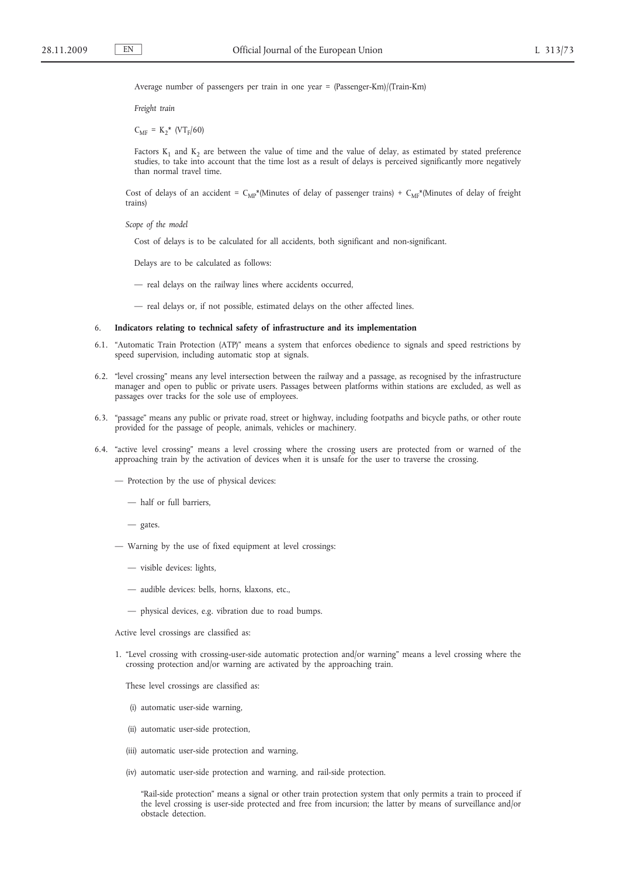Average number of passengers per train in one year = (Passenger-Km)/(Train-Km)

*Freight train*

 $C_{MF} = K_2^*$  (VT<sub>F</sub>/60)

Factors  $K_1$  and  $K_2$  are between the value of time and the value of delay, as estimated by stated preference studies, to take into account that the time lost as a result of delays is perceived significantly more negatively than normal travel time.

Cost of delays of an accident =  $C_{MP}^*$ (Minutes of delay of passenger trains) +  $C_{MP}^*$ (Minutes of delay of freight trains)

*Scope of the model*

Cost of delays is to be calculated for all accidents, both significant and non-significant.

Delays are to be calculated as follows:

— real delays on the railway lines where accidents occurred,

— real delays or, if not possible, estimated delays on the other affected lines.

## 6. **Indicators relating to technical safety of infrastructure and its implementation**

- 6.1. "Automatic Train Protection (ATP)" means a system that enforces obedience to signals and speed restrictions by speed supervision, including automatic stop at signals.
- 6.2. "level crossing" means any level intersection between the railway and a passage, as recognised by the infrastructure manager and open to public or private users. Passages between platforms within stations are excluded, as well as passages over tracks for the sole use of employees.
- 6.3. "passage" means any public or private road, street or highway, including footpaths and bicycle paths, or other route provided for the passage of people, animals, vehicles or machinery.
- 6.4. "active level crossing" means a level crossing where the crossing users are protected from or warned of the approaching train by the activation of devices when it is unsafe for the user to traverse the crossing.
	- Protection by the use of physical devices:
		- half or full barriers,

— gates.

- Warning by the use of fixed equipment at level crossings:
	- visible devices: lights,
	- audible devices: bells, horns, klaxons, etc.,
	- physical devices, e.g. vibration due to road bumps.

Active level crossings are classified as:

1. "Level crossing with crossing-user-side automatic protection and/or warning" means a level crossing where the crossing protection and/or warning are activated by the approaching train.

These level crossings are classified as:

- (i) automatic user-side warning,
- (ii) automatic user-side protection,
- (iii) automatic user-side protection and warning,
- (iv) automatic user-side protection and warning, and rail-side protection.

"Rail-side protection" means a signal or other train protection system that only permits a train to proceed if the level crossing is user-side protected and free from incursion; the latter by means of surveillance and/or obstacle detection.